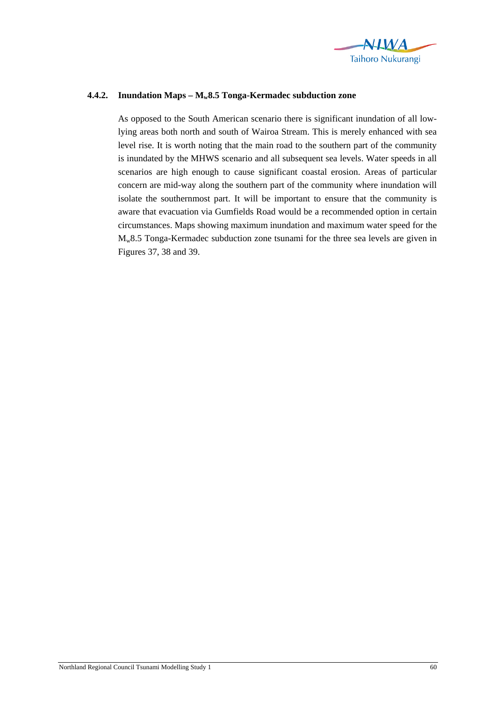

## **4.4.2. Inundation Maps – Mw8.5 Tonga-Kermadec subduction zone**

As opposed to the South American scenario there is significant inundation of all lowlying areas both north and south of Wairoa Stream. This is merely enhanced with sea level rise. It is worth noting that the main road to the southern part of the community is inundated by the MHWS scenario and all subsequent sea levels. Water speeds in all scenarios are high enough to cause significant coastal erosion. Areas of particular concern are mid-way along the southern part of the community where inundation will isolate the southernmost part. It will be important to ensure that the community is aware that evacuation via Gumfields Road would be a recommended option in certain circumstances. Maps showing maximum inundation and maximum water speed for the Mw8.5 Tonga-Kermadec subduction zone tsunami for the three sea levels are given in Figures 37, 38 and 39.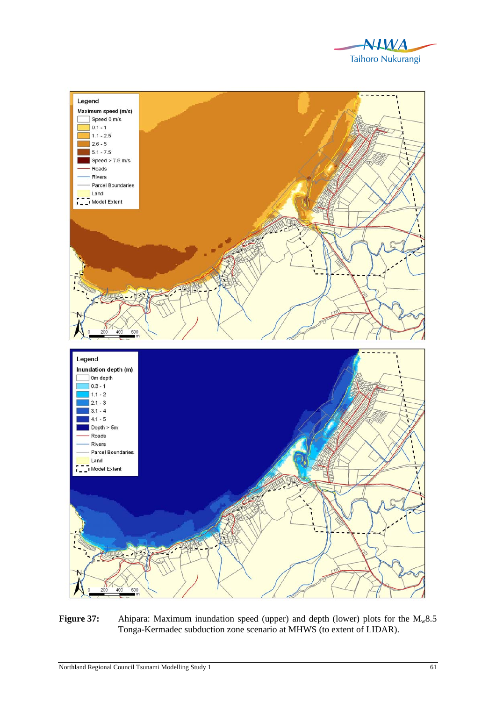



Figure 37: Ahipara: Maximum inundation speed (upper) and depth (lower) plots for the M<sub>w</sub>8.5 Tonga-Kermadec subduction zone scenario at MHWS (to extent of LIDAR).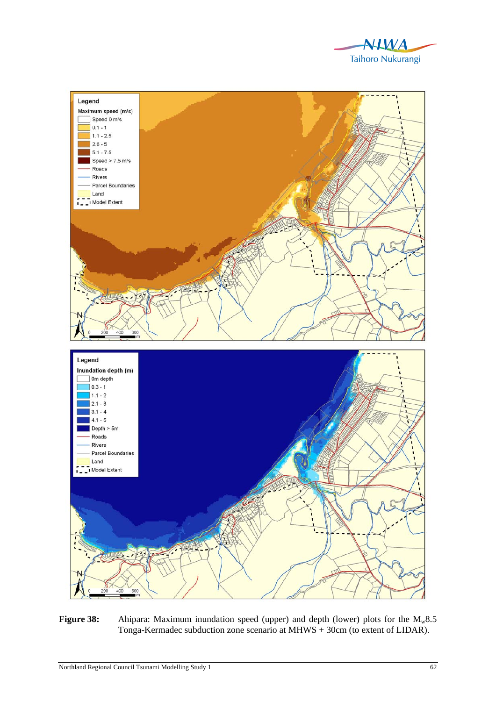



Figure 38: Ahipara: Maximum inundation speed (upper) and depth (lower) plots for the M<sub>w</sub>8.5 Tonga-Kermadec subduction zone scenario at MHWS + 30cm (to extent of LIDAR).